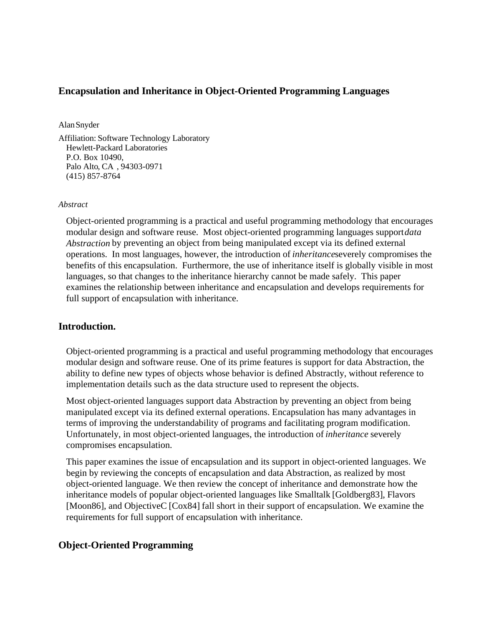### **Encapsulation and Inheritance in Object-Oriented Programming Languages**

Alan Snyder

Affiliation: Software Technology Laboratory Hewlett-Packard Laboratories P.O. Box 10490, Palo Alto, CA , 94303-0971 (415) 857-8764

#### *Abstract*

Object-oriented programming is a practical and useful programming methodology that encourages modular design and software reuse. Most object-oriented programming languages support *data Abstraction* by preventing an object from being manipulated except via its defined external operations. In most languages, however, the introduction of *inheritance*severely compromises the benefits of this encapsulation. Furthermore, the use of inheritance itself is globally visible in most languages, so that changes to the inheritance hierarchy cannot be made safely. This paper examines the relationship between inheritance and encapsulation and develops requirements for full support of encapsulation with inheritance.

### **Introduction.**

Object-oriented programming is a practical and useful programming methodology that encourages modular design and software reuse. One of its prime features is support for data Abstraction, the ability to define new types of objects whose behavior is defined Abstractly, without reference to implementation details such as the data structure used to represent the objects.

Most object-oriented languages support data Abstraction by preventing an object from being manipulated except via its defined external operations. Encapsulation has many advantages in terms of improving the understandability of programs and facilitating program modification. Unfortunately, in most object-oriented languages, the introduction of *inheritance* severely compromises encapsulation.

This paper examines the issue of encapsulation and its support in object-oriented languages. We begin by reviewing the concepts of encapsulation and data Abstraction, as realized by most object-oriented language. We then review the concept of inheritance and demonstrate how the inheritance models of popular object-oriented languages like Smalltalk [Goldberg83], Flavors [Moon86], and ObjectiveC [Cox84] fall short in their support of encapsulation. We examine the requirements for full support of encapsulation with inheritance.

### **Object-Oriented Programming**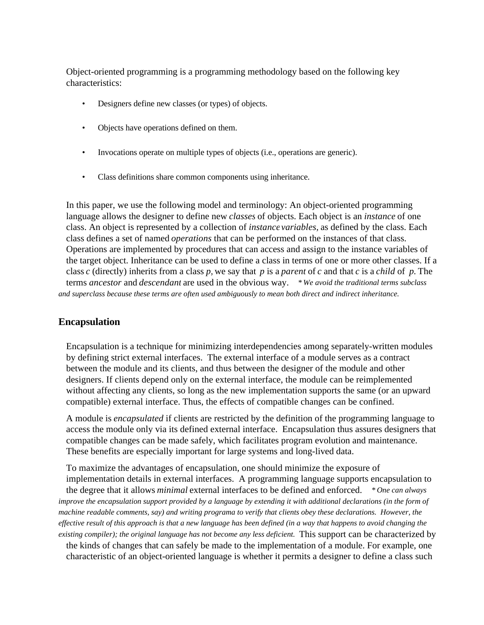Object-oriented programming is a programming methodology based on the following key characteristics:

- Designers define new classes (or types) of objects.
- Objects have operations defined on them.
- Invocations operate on multiple types of objects (i.e., operations are generic).
- Class definitions share common components using inheritance.

In this paper, we use the following model and terminology: An object-oriented programming language allows the designer to define new *classes* of objects. Each object is an *instance* of one class. An object is represented by a collection of *instance variables*, as defined by the class. Each class defines a set of named *operations* that can be performed on the instances of that class. Operations are implemented by procedures that can access and assign to the instance variables of the target object. Inheritance can be used to define a class in terms of one or more other classes. If a class *c* (directly) inherits from a class *p,* we say that *p* is a *parent* of *c* and that *c* is a *child* of *p.* The terms *ancestor* and *descendant* are used in the obvious way. *\* We avoid the traditional terms subclass and superclass because these terms are often used ambiguously to mean both direct and indirect inheritance.*

#### **Encapsulation**

Encapsulation is a technique for minimizing interdependencies among separately-written modules by defining strict external interfaces. The external interface of a module serves as a contract between the module and its clients, and thus between the designer of the module and other designers. If clients depend only on the external interface, the module can be reimplemented without affecting any clients, so long as the new implementation supports the same (or an upward compatible) external interface. Thus, the effects of compatible changes can be confined.

A module is *encapsulated* if clients are restricted by the definition of the programming language to access the module only via its defined external interface. Encapsulation thus assures designers that compatible changes can be made safely, which facilitates program evolution and maintenance. These benefits are especially important for large systems and long-lived data.

To maximize the advantages of encapsulation, one should minimize the exposure of implementation details in external interfaces. A programming language supports encapsulation to the degree that it allows *minimal* external interfaces to be defined and enforced. *\* One can always improve the encapsulation support provided by a language by extending it with additional declarations (in the form of machine readable comments, say) and writing programa to verify that clients obey these declarations. However, the effective result of this approach is that a new language has been defined (in a way that happens to avoid changing the existing compiler); the original language has not become any less deficient.* This support can be characterized by the kinds of changes that can safely be made to the implementation of a module. For example, one characteristic of an object-oriented language is whether it permits a designer to define a class such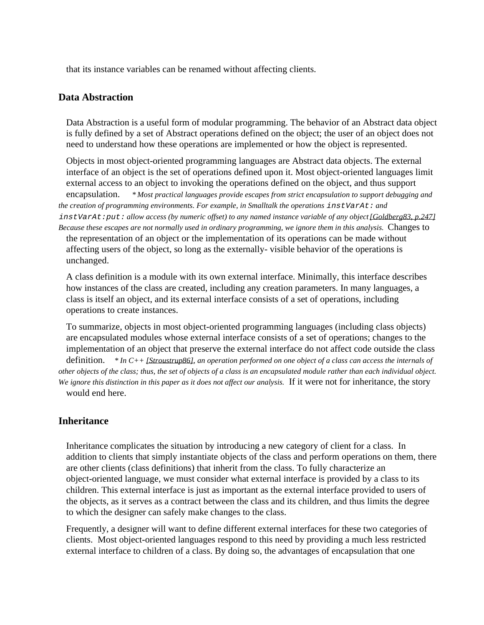that its instance variables can be renamed without affecting clients.

#### **Data Abstraction**

Data Abstraction is a useful form of modular programming. The behavior of an Abstract data object is fully defined by a set of Abstract operations defined on the object; the user of an object does not need to understand how these operations are implemented or how the object is represented.

Objects in most object-oriented programming languages are Abstract data objects. The external interface of an object is the set of operations defined upon it. Most object-oriented languages limit external access to an object to invoking the operations defined on the object, and thus support

encapsulation. *\* Most practical languages provide escapes from strict encapsulation to support debugging and the creation of programming environments. For example, in Smalltalk the operations instVarAt: and* instVarAt:put: *allow access (by numeric offset) to any named instance variable of any object [Goldberg83, p.247]*

*Because these escapes are not normally used in ordinary programming, we ignore them in this analysis.* Changes to the representation of an object or the implementation of its operations can be made without affecting users of the object, so long as the externally- visible behavior of the operations is unchanged.

A class definition is a module with its own external interface. Minimally, this interface describes how instances of the class are created, including any creation parameters. In many languages, a class is itself an object, and its external interface consists of a set of operations, including operations to create instances.

To summarize, objects in most object-oriented programming languages (including class objects) are encapsulated modules whose external interface consists of a set of operations; changes to the implementation of an object that preserve the external interface do not affect code outside the class definition. *\* In C++ [Stroustrup86], an operation performed on one object of a class can access the internals of other objects of the class; thus, the set of objects of a class is an encapsulated module rather than each individual object. We ignore this distinction in this paper as it does not affect our analysis.* If it were not for inheritance, the story would end here.

#### **Inheritance**

Inheritance complicates the situation by introducing a new category of client for a class. In addition to clients that simply instantiate objects of the class and perform operations on them, there are other clients (class definitions) that inherit from the class. To fully characterize an object-oriented language, we must consider what external interface is provided by a class to its children. This external interface is just as important as the external interface provided to users of the objects, as it serves as a contract between the class and its children, and thus limits the degree to which the designer can safely make changes to the class.

Frequently, a designer will want to define different external interfaces for these two categories of clients. Most object-oriented languages respond to this need by providing a much less restricted external interface to children of a class. By doing so, the advantages of encapsulation that one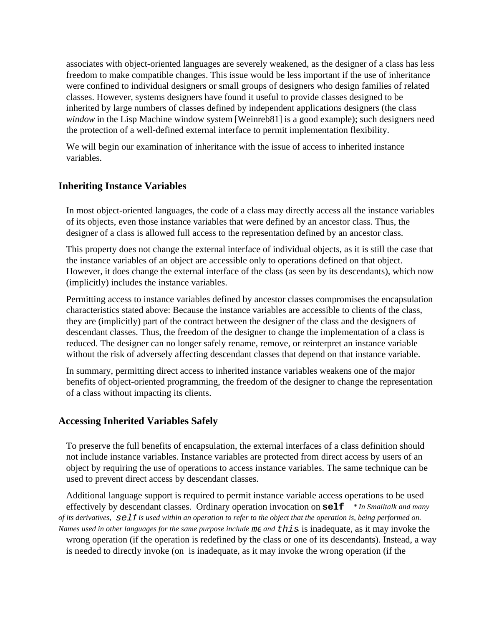associates with object-oriented languages are severely weakened, as the designer of a class has less freedom to make compatible changes. This issue would be less important if the use of inheritance were confined to individual designers or small groups of designers who design families of related classes. However, systems designers have found it useful to provide classes designed to be inherited by large numbers of classes defined by independent applications designers (the class *window* in the Lisp Machine window system [Weinreb81] is a good example); such designers need the protection of a well-defined external interface to permit implementation flexibility.

We will begin our examination of inheritance with the issue of access to inherited instance variables.

### **Inheriting Instance Variables**

In most object-oriented languages, the code of a class may directly access all the instance variables of its objects, even those instance variables that were defined by an ancestor class. Thus, the designer of a class is allowed full access to the representation defined by an ancestor class.

This property does not change the external interface of individual objects, as it is still the case that the instance variables of an object are accessible only to operations defined on that object. However, it does change the external interface of the class (as seen by its descendants), which now (implicitly) includes the instance variables.

Permitting access to instance variables defined by ancestor classes compromises the encapsulation characteristics stated above: Because the instance variables are accessible to clients of the class, they are (implicitly) part of the contract between the designer of the class and the designers of descendant classes. Thus, the freedom of the designer to change the implementation of a class is reduced. The designer can no longer safely rename, remove, or reinterpret an instance variable without the risk of adversely affecting descendant classes that depend on that instance variable.

In summary, permitting direct access to inherited instance variables weakens one of the major benefits of object-oriented programming, the freedom of the designer to change the representation of a class without impacting its clients.

### **Accessing Inherited Variables Safely**

To preserve the full benefits of encapsulation, the external interfaces of a class definition should not include instance variables. Instance variables are protected from direct access by users of an object by requiring the use of operations to access instance variables. The same technique can be used to prevent direct access by descendant classes.

Additional language support is required to permit instance variable access operations to be used effectively by descendant classes. Ordinary operation invocation on **self** *\* In Smalltalk and many of its derivatives,* self *is used within an operation to refer to the object that the operation is, being performed on. Names used in other languages for the same purpose include me and this* is inadequate, as it may invoke the wrong operation (if the operation is redefined by the class or one of its descendants). Instead, a way is needed to directly invoke (on is inadequate, as it may invoke the wrong operation (if the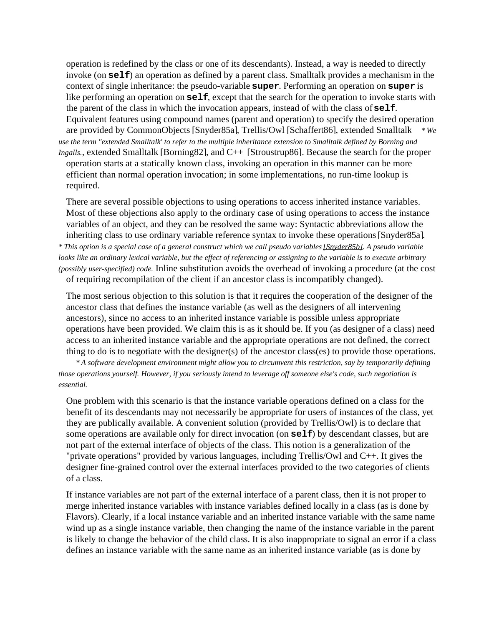operation is redefined by the class or one of its descendants). Instead, a way is needed to directly invoke (on **self**) an operation as defined by a parent class. Smalltalk provides a mechanism in the context of single inheritance: the pseudo-variable **super**. Performing an operation on **super** is like performing an operation on **self**, except that the search for the operation to invoke starts with the parent of the class in which the invocation appears, instead of with the class of **self**. Equivalent features using compound names (parent and operation) to specify the desired operation are provided by CommonObjects [Snyder85a], Trellis/Owl [Schaffert86], extended Smalltalk *\* We use the term "extended Smalltalk' to refer to the multiple inheritance extension to Smalltalk defined by Borning and Ingalls.*, extended Smalltalk [Borning82], and C++ [Stroustrup86]. Because the search for the proper operation starts at a statically known class, invoking an operation in this manner can be more efficient than normal operation invocation; in some implementations, no run-time lookup is required.

There are several possible objections to using operations to access inherited instance variables. Most of these objections also apply to the ordinary case of using operations to access the instance variables of an object, and they can be resolved the same way: Syntactic abbreviations allow the inheriting class to use ordinary variable reference syntax to invoke these operations [Snyder85a]. *\* This option is a special case of a general construct which we call pseudo variables [Snyder85b]. A pseudo variable looks like an ordinary lexical variable, but the effect of referencing or assigning to the variable is to execute arbitrary (possibly user-specified) code.* Inline substitution avoids the overhead of invoking a procedure (at the cost of requiring recompilation of the client if an ancestor class is incompatibly changed).

The most serious objection to this solution is that it requires the cooperation of the designer of the ancestor class that defines the instance variable (as well as the designers of all intervening ancestors), since no access to an inherited instance variable is possible unless appropriate operations have been provided. We claim this is as it should be. If you (as designer of a class) need access to an inherited instance variable and the appropriate operations are not defined, the correct thing to do is to negotiate with the designer(s) of the ancestor class(es) to provide those operations.

 *\* A software development environment might allow you to circumvent this restriction, say by temporarily defining those operations yourself. However, if you seriously intend to leverage off someone else's code, such negotiation is essential.*

One problem with this scenario is that the instance variable operations defined on a class for the benefit of its descendants may not necessarily be appropriate for users of instances of the class, yet they are publically available. A convenient solution (provided by Trellis/Owl) is to declare that some operations are available only for direct invocation (on **self**) by descendant classes, but are not part of the external interface of objects of the class. This notion is a generalization of the "private operations" provided by various languages, including Trellis/Owl and C++. It gives the designer fine-grained control over the external interfaces provided to the two categories of clients of a class.

If instance variables are not part of the external interface of a parent class, then it is not proper to merge inherited instance variables with instance variables defined locally in a class (as is done by Flavors). Clearly, if a local instance variable and an inherited instance variable with the same name wind up as a single instance variable, then changing the name of the instance variable in the parent is likely to change the behavior of the child class. It is also inappropriate to signal an error if a class defines an instance variable with the same name as an inherited instance variable (as is done by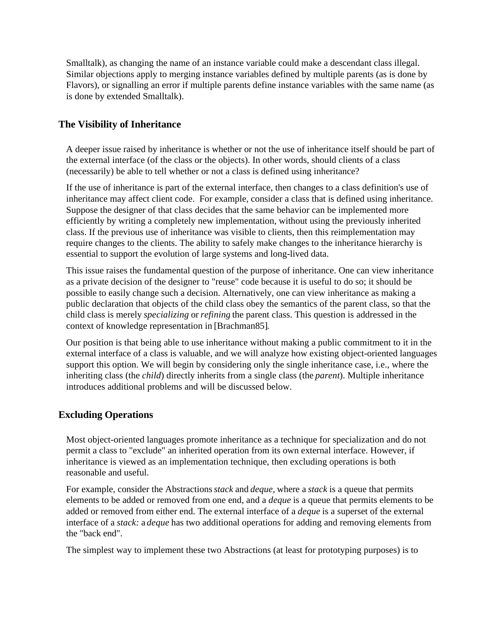Smalltalk), as changing the name of an instance variable could make a descendant class illegal. Similar objections apply to merging instance variables defined by multiple parents (as is done by Flavors), or signalling an error if multiple parents define instance variables with the same name (as is done by extended Smalltalk).

## **The Visibility of Inheritance**

A deeper issue raised by inheritance is whether or not the use of inheritance itself should be part of the external interface (of the class or the objects). In other words, should clients of a class (necessarily) be able to tell whether or not a class is defined using inheritance?

If the use of inheritance is part of the external interface, then changes to a class definition's use of inheritance may affect client code. For example, consider a class that is defined using inheritance. Suppose the designer of that class decides that the same behavior can be implemented more efficiently by writing a completely new implementation, without using the previously inherited class. If the previous use of inheritance was visible to clients, then this reimplementation may require changes to the clients. The ability to safely make changes to the inheritance hierarchy is essential to support the evolution of large systems and long-lived data.

This issue raises the fundamental question of the purpose of inheritance. One can view inheritance as a private decision of the designer to "reuse" code because it is useful to do so; it should be possible to easily change such a decision. Alternatively, one can view inheritance as making a public declaration that objects of the child class obey the semantics of the parent class, so that the child class is merely *specializing* or *refining* the parent class. This question is addressed in the context of knowledge representation in [Brachman85].

Our position is that being able to use inheritance without making a public commitment to it in the external interface of a class is valuable, and we will analyze how existing object-oriented languages support this option. We will begin by considering only the single inheritance case, i.e., where the inheriting class (the *child*) directly inherits from a single class (the *parent*). Multiple inheritance introduces additional problems and will be discussed below.

### **Excluding Operations**

Most object-oriented languages promote inheritance as a technique for specialization and do not permit a class to "exclude" an inherited operation from its own external interface. However, if inheritance is viewed as an implementation technique, then excluding operations is both reasonable and useful.

For example, consider the Abstractions *stack* and *deque,* where a *stack* is a queue that permits elements to be added or removed from one end, and a *deque* is a queue that permits elements to be added or removed from either end. The external interface of a *deque* is a superset of the external interface of a *stack:* a *deque* has two additional operations for adding and removing elements from the "back end".

The simplest way to implement these two Abstractions (at least for prototyping purposes) is to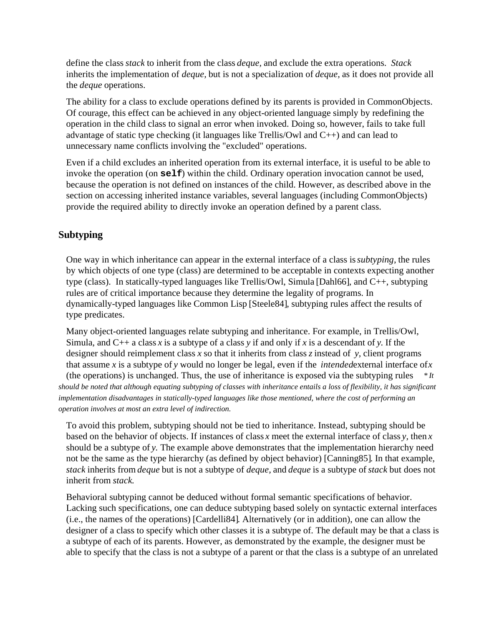define the class *stack* to inherit from the class *deque,* and exclude the extra operations. *Stack* inherits the implementation of *deque,* but is not a specialization of *deque,* as it does not provide all the *deque* operations.

The ability for a class to exclude operations defined by its parents is provided in CommonObjects. Of courage, this effect can be achieved in any object-oriented language simply by redefining the operation in the child class to signal an error when invoked. Doing so, however, fails to take full advantage of static type checking (it languages like Trellis/Owl and C++) and can lead to unnecessary name conflicts involving the "excluded" operations.

Even if a child excludes an inherited operation from its external interface, it is useful to be able to invoke the operation (on **self**) within the child. Ordinary operation invocation cannot be used, because the operation is not defined on instances of the child. However, as described above in the section on accessing inherited instance variables, several languages (including CommonObjects) provide the required ability to directly invoke an operation defined by a parent class.

# **Subtyping**

One way in which inheritance can appear in the external interface of a class is *subtyping,* the rules by which objects of one type (class) are determined to be acceptable in contexts expecting another type (class). In statically-typed languages like Trellis/Owl, Simula [Dahl66], and C++, subtyping rules are of critical importance because they determine the legality of programs. In dynamically-typed languages like Common Lisp [Steele84], subtyping rules affect the results of type predicates.

Many object-oriented languages relate subtyping and inheritance. For example, in Trellis/Owl, Simula, and  $C_{++}$  a class *x* is a subtype of a class *y* if and only if *x* is a descendant of *y*. If the designer should reimplement class *x* so that it inherits from class *z* instead of *y,* client programs that assume  $x$  is a subtype of  $y$  would no longer be legal, even if the *intended* external interface of  $x$ (the operations) is unchanged. Thus, the use of inheritance is exposed via the subtyping rules. *should be noted that although equating subtyping of classes with inheritance entails a loss of flexibility, it has significant implementation disadvantages in statically-typed languages like those mentioned, where the cost of performing an operation involves at most an extra level of indirection.*

To avoid this problem, subtyping should not be tied to inheritance. Instead, subtyping should be based on the behavior of objects. If instances of class *x* meet the external interface of class *y*, then *x* should be a subtype of *y.* The example above demonstrates that the implementation hierarchy need not be the same as the type hierarchy (as defined by object behavior) [Canning85]. In that example, *stack* inherits from *deque* but is not a subtype of *deque,* and *deque* is a subtype of *stack* but does not inherit from *stack.*

Behavioral subtyping cannot be deduced without formal semantic specifications of behavior. Lacking such specifications, one can deduce subtyping based solely on syntactic external interfaces (i.e., the names of the operations) [Cardelli84]. Alternatively (or in addition), one can allow the designer of a class to specify which other classes it is a subtype of. The default may be that a class is a subtype of each of its parents. However, as demonstrated by the example, the designer must be able to specify that the class is not a subtype of a parent or that the class is a subtype of an unrelated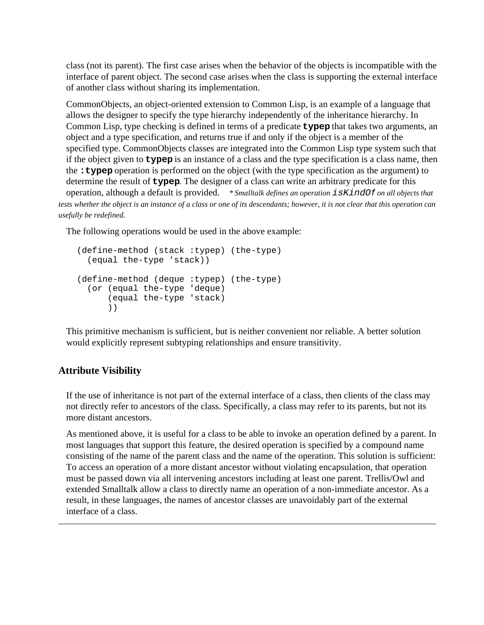class (not its parent). The first case arises when the behavior of the objects is incompatible with the interface of parent object. The second case arises when the class is supporting the external interface of another class without sharing its implementation.

CommonObjects, an object-oriented extension to Common Lisp, is an example of a language that allows the designer to specify the type hierarchy independently of the inheritance hierarchy. In Common Lisp, type checking is defined in terms of a predicate **typep** that takes two arguments, an object and a type specification, and returns true if and only if the object is a member of the specified type. CommonObjects classes are integrated into the Common Lisp type system such that if the object given to **typep** is an instance of a class and the type specification is a class name, then the **:typep** operation is performed on the object (with the type specification as the argument) to determine the result of **typep**. The designer of a class can write an arbitrary predicate for this operation, although a default is provided. *\* Smalltalk defines an operation* isKindOf *on all objects that tests whether the object is an instance of a class or one of its descendants; however, it is not clear that this operation can usefully be redefined.*

The following operations would be used in the above example:

```
 (define-method (stack :typep) (the-type)
  (equal the-type 'stack))
(define-method (deque :typep) (the-type)
  (or (equal the-type 'deque)
      (equal the-type 'stack)
      ))
```
This primitive mechanism is sufficient, but is neither convenient nor reliable. A better solution would explicitly represent subtyping relationships and ensure transitivity.

### **Attribute Visibility**

If the use of inheritance is not part of the external interface of a class, then clients of the class may not directly refer to ancestors of the class. Specifically, a class may refer to its parents, but not its more distant ancestors.

As mentioned above, it is useful for a class to be able to invoke an operation defined by a parent. In most languages that support this feature, the desired operation is specified by a compound name consisting of the name of the parent class and the name of the operation. This solution is sufficient: To access an operation of a more distant ancestor without violating encapsulation, that operation must be passed down via all intervening ancestors including at least one parent. Trellis/Owl and extended Smalltalk allow a class to directly name an operation of a non-immediate ancestor. As a result, in these languages, the names of ancestor classes are unavoidably part of the external interface of a class.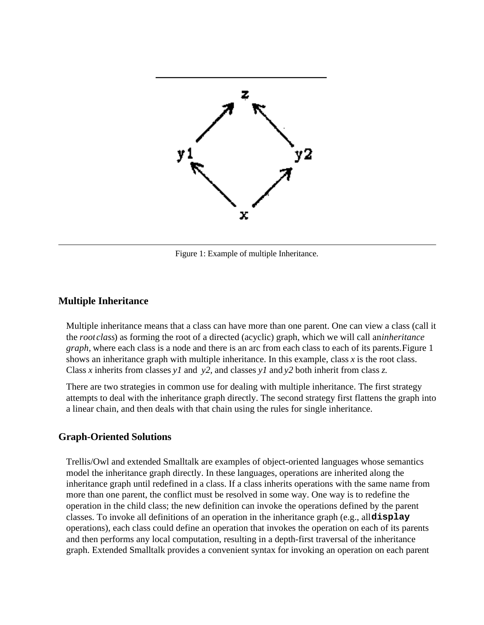

Figure 1: Example of multiple Inheritance.

#### **Multiple Inheritance**

Multiple inheritance means that a class can have more than one parent. One can view a class (call it the *rootclass*) as forming the root of a directed (acyclic) graph, which we will call an*inheritance graph,* where each class is a node and there is an arc from each class to each of its parents. Figure 1 shows an inheritance graph with multiple inheritance. In this example, class *x* is the root class. Class *x* inherits from classes *y1* and *y2,* and classes *y1* and *y2* both inherit from class *z.*

There are two strategies in common use for dealing with multiple inheritance. The first strategy attempts to deal with the inheritance graph directly. The second strategy first flattens the graph into a linear chain, and then deals with that chain using the rules for single inheritance.

#### **Graph-Oriented Solutions**

Trellis/Owl and extended Smalltalk are examples of object-oriented languages whose semantics model the inheritance graph directly. In these languages, operations are inherited along the inheritance graph until redefined in a class. If a class inherits operations with the same name from more than one parent, the conflict must be resolved in some way. One way is to redefine the operation in the child class; the new definition can invoke the operations defined by the parent classes. To invoke all definitions of an operation in the inheritance graph (e.g., all **display** operations), each class could define an operation that invokes the operation on each of its parents and then performs any local computation, resulting in a depth-first traversal of the inheritance graph. Extended Smalltalk provides a convenient syntax for invoking an operation on each parent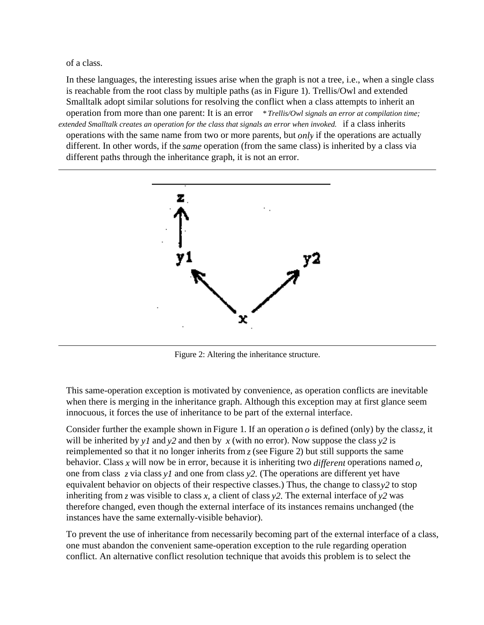of a class.

In these languages, the interesting issues arise when the graph is not a tree, i.e., when a single class is reachable from the root class by multiple paths (as in Figure 1). Trellis/Owl and extended Smalltalk adopt similar solutions for resolving the conflict when a class attempts to inherit an operation from more than one parent: It is an error *\* Trellis/Owl signals an error at compilation time; extended Smalltalk creates an operation for the class that signals an error when invoked.* if a class inherits operations with the same name from two or more parents, but *only* if the operations are actually different. In other words, if the *same* operation (from the same class) is inherited by a class via different paths through the inheritance graph, it is not an error.



Figure 2: Altering the inheritance structure.

This same-operation exception is motivated by convenience, as operation conflicts are inevitable when there is merging in the inheritance graph. Although this exception may at first glance seem innocuous, it forces the use of inheritance to be part of the external interface.

Consider further the example shown in Figure 1. If an operation  $\rho$  is defined (only) by the class<sub>z</sub>, it will be inherited by  $yI$  and  $y2$  and then by  $x$  (with no error). Now suppose the class  $y2$  is reimplemented so that it no longer inherits from  $\zeta$  (see Figure 2) but still supports the same behavior. Class *x* will now be in error, because it is inheriting two *different* operations named *o,* one from class *z* via class  $v1$  and one from class  $v2$ . (The operations are different yet have equivalent behavior on objects of their respective classes.) Thus, the change to class  $y2$  to stop inheriting from *z* was visible to class *x*, a client of class  $y2$ . The external interface of  $y2$  was therefore changed, even though the external interface of its instances remains unchanged (the instances have the same externally-visible behavior).

To prevent the use of inheritance from necessarily becoming part of the external interface of a class, one must abandon the convenient same-operation exception to the rule regarding operation conflict. An alternative conflict resolution technique that avoids this problem is to select the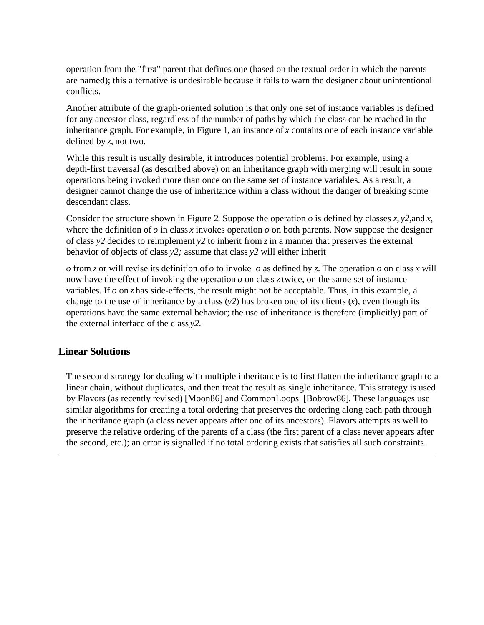operation from the "first" parent that defines one (based on the textual order in which the parents are named); this alternative is undesirable because it fails to warn the designer about unintentional conflicts.

Another attribute of the graph-oriented solution is that only one set of instance variables is defined for any ancestor class, regardless of the number of paths by which the class can be reached in the inheritance graph. For example, in Figure 1, an instance of *x* contains one of each instance variable defined by *z,* not two.

While this result is usually desirable, it introduces potential problems. For example, using a depth-first traversal (as described above) on an inheritance graph with merging will result in some operations being invoked more than once on the same set of instance variables. As a result, a designer cannot change the use of inheritance within a class without the danger of breaking some descendant class.

Consider the structure shown in Figure 2. Suppose the operation  $\sigma$  is defined by classes *z*,  $y^2$ , and *x*, where the definition of  $\sigma$  in class  $x$  invokes operation  $\sigma$  on both parents. Now suppose the designer of class  $y^2$  decides to reimplement  $y^2$  to inherit from *z* in a manner that preserves the external behavior of objects of class *y2;* assume that class *y2* will either inherit

*o* from *z* or will revise its definition of *o* to invoke *o* as defined by *z*. The operation *o* on class *x* will now have the effect of invoking the operation  $\rho$  on class  $\zeta$  twice, on the same set of instance variables. If *o* on *z* has side-effects, the result might not be acceptable. Thus, in this example, a change to the use of inheritance by a class (*y2*) has broken one of its clients (*x*), even though its operations have the same external behavior; the use of inheritance is therefore (implicitly) part of the external interface of the class *y2.*

# **Linear Solutions**

The second strategy for dealing with multiple inheritance is to first flatten the inheritance graph to a linear chain, without duplicates, and then treat the result as single inheritance. This strategy is used by Flavors (as recently revised) [Moon86] and CommonLoops [Bobrow86]. These languages use similar algorithms for creating a total ordering that preserves the ordering along each path through the inheritance graph (a class never appears after one of its ancestors). Flavors attempts as well to preserve the relative ordering of the parents of a class (the first parent of a class never appears after the second, etc.); an error is signalled if no total ordering exists that satisfies all such constraints.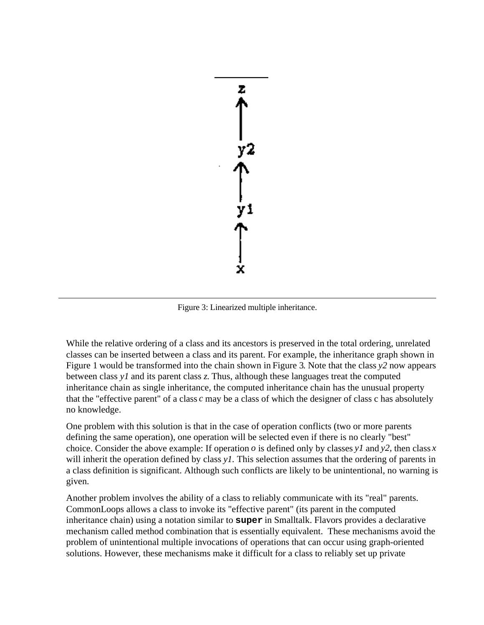

Figure 3: Linearized multiple inheritance.

While the relative ordering of a class and its ancestors is preserved in the total ordering, unrelated classes can be inserted between a class and its parent. For example, the inheritance graph shown in Figure 1 would be transformed into the chain shown in Figure 3. Note that the class *y2* now appears between class *y1* and its parent class *z.* Thus, although these languages treat the computed inheritance chain as single inheritance, the computed inheritance chain has the unusual property that the "effective parent" of a class *c* may be a class of which the designer of class c has absolutely no knowledge.

One problem with this solution is that in the case of operation conflicts (two or more parents defining the same operation), one operation will be selected even if there is no clearly "best" choice. Consider the above example: If operation  $o$  is defined only by classes  $yI$  and  $y2$ , then class  $x$ will inherit the operation defined by class *y1.* This selection assumes that the ordering of parents in a class definition is significant. Although such conflicts are likely to be unintentional, no warning is given.

Another problem involves the ability of a class to reliably communicate with its "real" parents. CommonLoops allows a class to invoke its "effective parent" (its parent in the computed inheritance chain) using a notation similar to **super** in Smalltalk. Flavors provides a declarative mechanism called method combination that is essentially equivalent. These mechanisms avoid the problem of unintentional multiple invocations of operations that can occur using graph-oriented solutions. However, these mechanisms make it difficult for a class to reliably set up private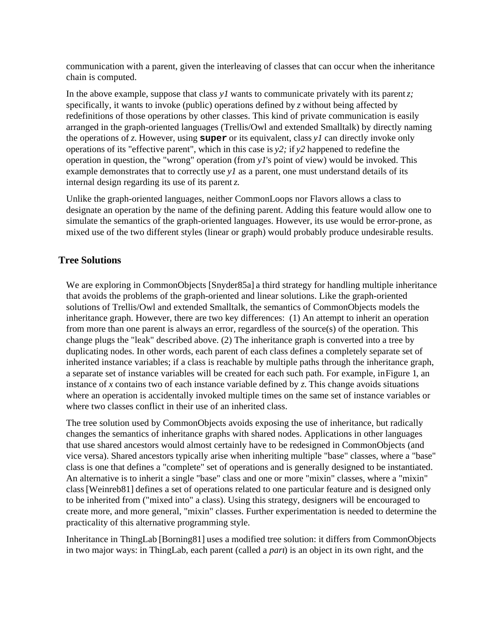communication with a parent, given the interleaving of classes that can occur when the inheritance chain is computed.

In the above example, suppose that class *y1* wants to communicate privately with its parent *z;* specifically, it wants to invoke (public) operations defined by *z* without being affected by redefinitions of those operations by other classes. This kind of private communication is easily arranged in the graph-oriented languages (Trellis/Owl and extended Smalltalk) by directly naming the operations of *z.* However, using **super** or its equivalent, class *y1* can directly invoke only operations of its "effective parent", which in this case is *y2;* if *y2* happened to redefine the operation in question, the "wrong" operation (from *y1*'s point of view) would be invoked. This example demonstrates that to correctly use *yl* as a parent, one must understand details of its internal design regarding its use of its parent *z.*

Unlike the graph-oriented languages, neither CommonLoops nor Flavors allows a class to designate an operation by the name of the defining parent. Adding this feature would allow one to simulate the semantics of the graph-oriented languages. However, its use would be error-prone, as mixed use of the two different styles (linear or graph) would probably produce undesirable results.

## **Tree Solutions**

We are exploring in CommonObjects [Snyder85a] a third strategy for handling multiple inheritance that avoids the problems of the graph-oriented and linear solutions. Like the graph-oriented solutions of Trellis/Owl and extended Smalltalk, the semantics of CommonObjects models the inheritance graph. However, there are two key differences: (1) An attempt to inherit an operation from more than one parent is always an error, regardless of the source(s) of the operation. This change plugs the "leak" described above. (2) The inheritance graph is converted into a tree by duplicating nodes. In other words, each parent of each class defines a completely separate set of inherited instance variables; if a class is reachable by multiple paths through the inheritance graph, a separate set of instance variables will be created for each such path. For example, in Figure 1, an instance of *x* contains two of each instance variable defined by *z.* This change avoids situations where an operation is accidentally invoked multiple times on the same set of instance variables or where two classes conflict in their use of an inherited class.

The tree solution used by CommonObjects avoids exposing the use of inheritance, but radically changes the semantics of inheritance graphs with shared nodes. Applications in other languages that use shared ancestors would almost certainly have to be redesigned in CommonObjects (and vice versa). Shared ancestors typically arise when inheriting multiple "base" classes, where a "base" class is one that defines a "complete" set of operations and is generally designed to be instantiated. An alternative is to inherit a single "base" class and one or more "mixin" classes, where a "mixin" class [Weinreb81] defines a set of operations related to one particular feature and is designed only to be inherited from ("mixed into" a class). Using this strategy, designers will be encouraged to create more, and more general, "mixin" classes. Further experimentation is needed to determine the practicality of this alternative programming style.

Inheritance in ThingLab [Borning81] uses a modified tree solution: it differs from CommonObjects in two major ways: in ThingLab, each parent (called a *part*) is an object in its own right, and the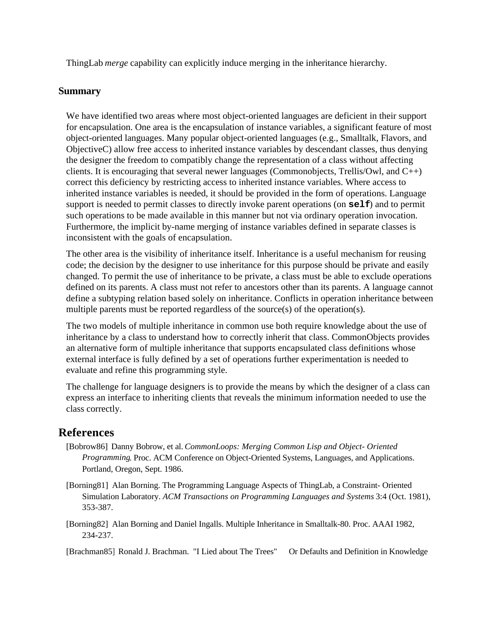ThingLab *merge* capability can explicitly induce merging in the inheritance hierarchy.

### **Summary**

We have identified two areas where most object-oriented languages are deficient in their support for encapsulation. One area is the encapsulation of instance variables, a significant feature of most object-oriented languages. Many popular object-oriented languages (e.g., Smalltalk, Flavors, and ObjectiveC) allow free access to inherited instance variables by descendant classes, thus denying the designer the freedom to compatibly change the representation of a class without affecting clients. It is encouraging that several newer languages (Commonobjects, Trellis/Owl, and  $C_{++}$ ) correct this deficiency by restricting access to inherited instance variables. Where access to inherited instance variables is needed, it should be provided in the form of operations. Language support is needed to permit classes to directly invoke parent operations (on **self**) and to permit such operations to be made available in this manner but not via ordinary operation invocation. Furthermore, the implicit by-name merging of instance variables defined in separate classes is inconsistent with the goals of encapsulation.

The other area is the visibility of inheritance itself. Inheritance is a useful mechanism for reusing code; the decision by the designer to use inheritance for this purpose should be private and easily changed. To permit the use of inheritance to be private, a class must be able to exclude operations defined on its parents. A class must not refer to ancestors other than its parents. A language cannot define a subtyping relation based solely on inheritance. Conflicts in operation inheritance between multiple parents must be reported regardless of the source(s) of the operation(s).

The two models of multiple inheritance in common use both require knowledge about the use of inheritance by a class to understand how to correctly inherit that class. CommonObjects provides an alternative form of multiple inheritance that supports encapsulated class definitions whose external interface is fully defined by a set of operations further experimentation is needed to evaluate and refine this programming style.

The challenge for language designers is to provide the means by which the designer of a class can express an interface to inheriting clients that reveals the minimum information needed to use the class correctly.

# **References**

- [Bobrow86] Danny Bobrow, et al. *CommonLoops: Merging Common Lisp and Object- Oriented Programming*. Proc. ACM Conference on Object-Oriented Systems, Languages, and Applications. Portland, Oregon, Sept. 1986.
- [Borning81] Alan Borning. The Programming Language Aspects of ThingLab, a Constraint- Oriented Simulation Laboratory. *ACM Transactions on Programming Languages and Systems* 3:4 (Oct. 1981), 353-387.
- [Borning82] Alan Borning and Daniel Ingalls. Multiple Inheritance in Smalltalk-80. Proc. AAAI 1982, 234-237.

[Brachman85] Ronald J. Brachman. "I Lied about The Trees" - Or Defaults and Definition in Knowledge